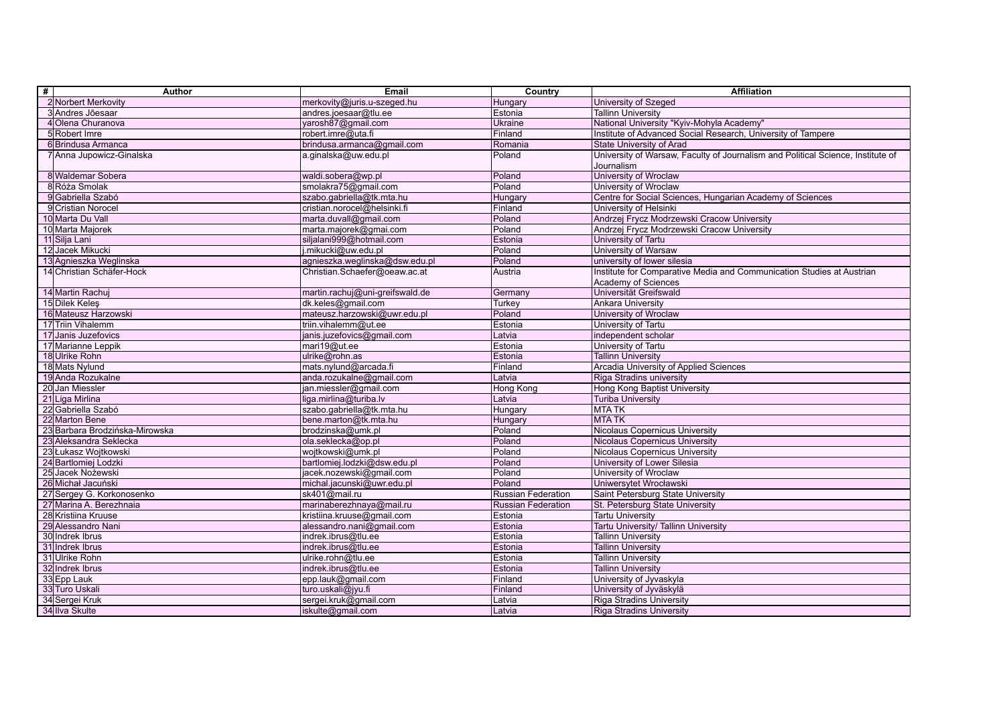| 2 Norbert Merkovity<br>merkovity@juris.u-szeged.hu<br>University of Szeged<br>Hungary<br>3 Andres Jõesaar<br>andres.joesaar@tlu.ee<br>Estonia<br><b>Tallinn University</b><br>4 Olena Churanova<br>yarosh87@gmail.com<br>Ukraine<br>National University "Kyiv-Mohyla Academy"<br>Institute of Advanced Social Research, University of Tampere<br>5 Robert Imre<br>Finland<br>robert.imre@uta.fi<br><b>State University of Arad</b><br>6 Brindusa Armanca<br>brindusa.armanca@gmail.com<br>Romania |  |
|---------------------------------------------------------------------------------------------------------------------------------------------------------------------------------------------------------------------------------------------------------------------------------------------------------------------------------------------------------------------------------------------------------------------------------------------------------------------------------------------------|--|
|                                                                                                                                                                                                                                                                                                                                                                                                                                                                                                   |  |
|                                                                                                                                                                                                                                                                                                                                                                                                                                                                                                   |  |
|                                                                                                                                                                                                                                                                                                                                                                                                                                                                                                   |  |
|                                                                                                                                                                                                                                                                                                                                                                                                                                                                                                   |  |
|                                                                                                                                                                                                                                                                                                                                                                                                                                                                                                   |  |
| University of Warsaw, Faculty of Journalism and Political Science, Institute of<br>7 Anna Jupowicz-Ginalska<br>a.ginalska@uw.edu.pl<br>Poland<br>Journalism                                                                                                                                                                                                                                                                                                                                       |  |
| 8 Waldemar Sobera<br>University of Wroclaw<br>waldi.sobera@wp.pl<br>Poland                                                                                                                                                                                                                                                                                                                                                                                                                        |  |
| University of Wroclaw<br>8Róża Smolak<br>smolakra75@gmail.com<br>Poland                                                                                                                                                                                                                                                                                                                                                                                                                           |  |
| 9 Gabriella Szabó<br>szabo.gabriella@tk.mta.hu<br>Hungary<br>Centre for Social Sciences, Hungarian Academy of Sciences                                                                                                                                                                                                                                                                                                                                                                            |  |
| 9 Cristian Norocel<br>cristian.norocel@helsinki.fi<br>Finland<br>University of Helsinki                                                                                                                                                                                                                                                                                                                                                                                                           |  |
| 10 Marta Du Vall<br>marta.duvall@gmail.com<br>Andrzej Frycz Modrzewski Cracow University<br>Poland                                                                                                                                                                                                                                                                                                                                                                                                |  |
| 10 Marta Majorek<br>marta.majorek@gmai.com<br>Poland<br>Andrzei Frycz Modrzewski Cracow University                                                                                                                                                                                                                                                                                                                                                                                                |  |
| siljalani999@hotmail.com<br>Estonia<br>11 Silja Lani<br>University of Tartu                                                                                                                                                                                                                                                                                                                                                                                                                       |  |
| 12 Jacek Mikucki<br>.mikucki@uw.edu.pl<br><b>University of Warsaw</b><br>Poland                                                                                                                                                                                                                                                                                                                                                                                                                   |  |
| 13 Agnieszka Weglinska<br>agnieszka.weglinska@dsw.edu.pl<br>Poland<br>luniversity of lower silesia                                                                                                                                                                                                                                                                                                                                                                                                |  |
| 14 Christian Schäfer-Hock<br>Christian.Schaefer@oeaw.ac.at<br>Institute for Comparative Media and Communication Studies at Austrian<br>Austria                                                                                                                                                                                                                                                                                                                                                    |  |
| Academy of Sciences                                                                                                                                                                                                                                                                                                                                                                                                                                                                               |  |
| 14 Martin Rachuj<br>martin.rachuj@uni-greifswald.de<br>Universität Greifswald<br>Germany                                                                                                                                                                                                                                                                                                                                                                                                          |  |
| 15 Dilek Keles<br>dk.keles@gmail.com<br>Turkey<br>Ankara University                                                                                                                                                                                                                                                                                                                                                                                                                               |  |
| 16 Mateusz Harzowski<br>mateusz.harzowski@uwr.edu.pl<br>Poland<br>University of Wroclaw                                                                                                                                                                                                                                                                                                                                                                                                           |  |
| 17 Triin Vihalemm<br>triin.vihalemm@ut.ee<br>Estonia<br>University of Tartu                                                                                                                                                                                                                                                                                                                                                                                                                       |  |
| 17 Janis Juzefovics<br>janis.juzefovics@gmail.com<br>Latvia<br>independent scholar                                                                                                                                                                                                                                                                                                                                                                                                                |  |
| 17 Marianne Leppik<br>mari19@ut.ee<br>Estonia<br>University of Tartu                                                                                                                                                                                                                                                                                                                                                                                                                              |  |
| 18 Ulrike Rohn<br>ulrike@rohn.as<br>Estonia<br><b>Tallinn University</b>                                                                                                                                                                                                                                                                                                                                                                                                                          |  |
| 18 Mats Nylund<br>mats.nylund@arcada.fi<br>Finland<br>Arcadia University of Applied Sciences                                                                                                                                                                                                                                                                                                                                                                                                      |  |
| 19 Anda Rozukalne<br>anda.rozukalne@gmail.com<br>Latvia<br>Riga Stradins university                                                                                                                                                                                                                                                                                                                                                                                                               |  |
| 20 Jan Miessler<br>jan.miessler@gmail.com<br>Hong Kong<br>Hong Kong Baptist University                                                                                                                                                                                                                                                                                                                                                                                                            |  |
| 21 Liga Mirlina<br>liga.mirlina@turiba.lv<br>Latvia<br><b>Turiba University</b>                                                                                                                                                                                                                                                                                                                                                                                                                   |  |
| 22 Gabriella Szabó<br>Hungary<br><b>MTATK</b><br>szabo.gabriella@tk.mta.hu                                                                                                                                                                                                                                                                                                                                                                                                                        |  |
| 22 Marton Bene<br>bene.marton@tk.mta.hu<br><b>MTATK</b><br>Hungary                                                                                                                                                                                                                                                                                                                                                                                                                                |  |
| 23 Barbara Brodzińska-Mirowska<br>brodzinska@umk.pl<br>Poland<br>Nicolaus Copernicus University                                                                                                                                                                                                                                                                                                                                                                                                   |  |
| 23 Aleksandra Seklecka<br>ola.seklecka@op.pl<br>Poland<br>Nicolaus Copernicus University                                                                                                                                                                                                                                                                                                                                                                                                          |  |
| 23 Łukasz Wojtkowski<br>wojtkowski@umk.pl<br>Poland<br>Nicolaus Copernicus University                                                                                                                                                                                                                                                                                                                                                                                                             |  |
| 24 Bartlomiej Lodzki<br>bartlomiej.lodzki@dsw.edu.pl<br>Poland<br>University of Lower Silesia                                                                                                                                                                                                                                                                                                                                                                                                     |  |
| 25 Jacek Nożewski<br>University of Wroclaw<br>jacek.nozewski@gmail.com<br>Poland                                                                                                                                                                                                                                                                                                                                                                                                                  |  |
| 26 Michał Jacuński<br>Poland<br>Uniwersytet Wrocławski<br>michal.jacunski@uwr.edu.pl                                                                                                                                                                                                                                                                                                                                                                                                              |  |
| 27 Sergey G. Korkonosenko<br>sk401@mail.ru<br>Russian Federation<br>Saint Petersburg State University                                                                                                                                                                                                                                                                                                                                                                                             |  |
| 27 Marina A. Berezhnaia<br>marinaberezhnaya@mail.ru<br><b>Russian Federation</b><br>St. Petersburg State University                                                                                                                                                                                                                                                                                                                                                                               |  |
| 28 Kristiina Kruuse<br>kristiina.kruuse@gmail.com<br><b>Tartu University</b><br>Estonia                                                                                                                                                                                                                                                                                                                                                                                                           |  |
| 29 Alessandro Nani<br>Estonia<br>alessandro.nani@gmail.com<br>Tartu University/ Tallinn University                                                                                                                                                                                                                                                                                                                                                                                                |  |
| 30 Indrek Ibrus<br>Estonia<br><b>Tallinn University</b><br>indrek.ibrus@tlu.ee                                                                                                                                                                                                                                                                                                                                                                                                                    |  |
| 31 Indrek Ibrus<br>indrek.ibrus@tlu.ee<br>Estonia<br><b>Tallinn University</b>                                                                                                                                                                                                                                                                                                                                                                                                                    |  |
| 31 Ulrike Rohn<br>Estonia<br><b>Tallinn University</b><br>ulrike.rohn@tlu.ee                                                                                                                                                                                                                                                                                                                                                                                                                      |  |
| 32 Indrek Ibrus<br>Estonia<br><b>Tallinn University</b><br>indrek.ibrus@tlu.ee                                                                                                                                                                                                                                                                                                                                                                                                                    |  |
| 33 Epp Lauk<br>Finland<br>University of Jyvaskyla<br>epp.lauk@gmail.com                                                                                                                                                                                                                                                                                                                                                                                                                           |  |
| 33 Turo Uskali<br>Finland<br>turo.uskali@jyu.fi<br>University of Jyväskylä                                                                                                                                                                                                                                                                                                                                                                                                                        |  |
| 34 Sergei Kruk<br>sergei.kruk@gmail.com<br>Latvia<br>Riga Stradins University                                                                                                                                                                                                                                                                                                                                                                                                                     |  |
| 34 Ilva Skulte<br>Riga Stradins University<br>iskulte@gmail.com<br>Latvia                                                                                                                                                                                                                                                                                                                                                                                                                         |  |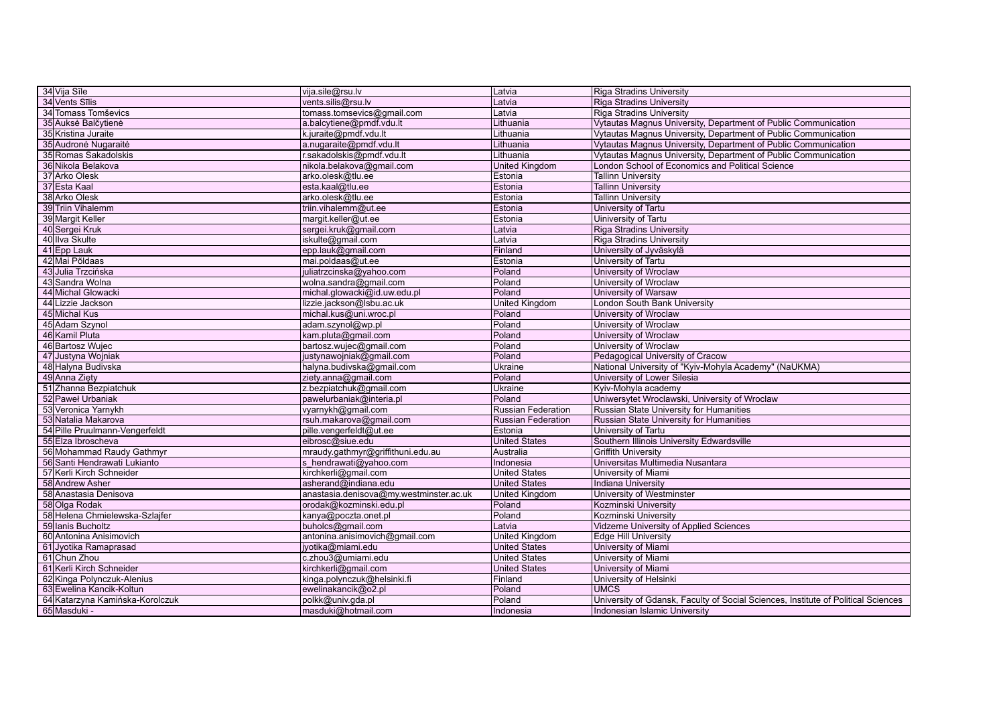| 34 Vija Sīle                    | vija.sile@rsu.lv                        | Latvia                    | Riga Stradins University                                                          |
|---------------------------------|-----------------------------------------|---------------------------|-----------------------------------------------------------------------------------|
| 34 Vents Sīlis                  | vents.silis@rsu.lv                      | Latvia                    | <b>Riga Stradins University</b>                                                   |
| 34 Tomass Tomševics             | tomass.tomsevics@gmail.com              | Latvia                    | <b>Riga Stradins University</b>                                                   |
| 35 Auksė Balčytienė             | a.balcytiene@pmdf.vdu.lt                | Lithuania                 | Vytautas Magnus University, Department of Public Communication                    |
| 35 Kristina Juraite             | k.juraite@pmdf.vdu.lt                   | Lithuania                 | Vytautas Magnus University, Department of Public Communication                    |
| 35 Audronė Nugaraitė            | a.nugaraite@pmdf.vdu.lt                 | Lithuania                 | Vytautas Magnus University, Department of Public Communication                    |
| 35 Romas Sakadolskis            | r.sakadolskis@pmdf.vdu.lt               | Lithuania                 | Vytautas Magnus University, Department of Public Communication                    |
| 36 Nikola Belakova              | nikola.belakova@gmail.com               | <b>United Kingdom</b>     | London School of Economics and Political Science                                  |
| 37 Arko Olesk                   | arko.olesk@tlu.ee                       | Estonia                   | <b>Tallinn University</b>                                                         |
| 37 Esta Kaal                    | esta.kaal@tlu.ee                        | Estonia                   | <b>Tallinn University</b>                                                         |
| 38 Arko Olesk                   | arko.olesk@tlu.ee                       | Estonia                   | <b>Tallinn University</b>                                                         |
| 39 Triin Vihalemm               | triin.vihalemm@ut.ee                    | Estonia                   | University of Tartu                                                               |
| 39 Margit Keller                | margit.keller@ut.ee                     | Estonia                   | Uiniversity of Tartu                                                              |
| 40 Sergei Kruk                  | sergei.kruk@gmail.com                   | Latvia                    | <b>Riga Stradins University</b>                                                   |
| 40 IIva Skulte                  | iskulte@gmail.com                       | Latvia                    | Riga Stradins University                                                          |
| 41 Epp Lauk                     | epp.lauk@gmail.com                      | Finland                   | University of Jyväskylä                                                           |
| 42 Mai Põldaas                  | mai.poldaas@ut.ee                       | Estonia                   | University of Tartu                                                               |
| 43 Julia Trzcińska              | juliatrzcinska@yahoo.com                | Poland                    | University of Wroclaw                                                             |
| 43 Sandra Wolna                 | wolna.sandra@gmail.com                  | Poland                    | University of Wroclaw                                                             |
| 44 Michal Glowacki              | michal.glowacki@id.uw.edu.pl            | Poland                    | University of Warsaw                                                              |
| 44 Lizzie Jackson               | lizzie.jackson@lsbu.ac.uk               | <b>United Kingdom</b>     | London South Bank University                                                      |
| 45 Michal Kus                   | michal.kus@uni.wroc.pl                  | Poland                    | University of Wroclaw                                                             |
| 45 Adam Szynol                  | adam.szynol@wp.pl                       | Poland                    | University of Wroclaw                                                             |
| 46 Kamil Pluta                  | kam.pluta@gmail.com                     | Poland                    | University of Wroclaw                                                             |
| 46 Bartosz Wujec                | bartosz.wujec@gmail.com                 | Poland                    | University of Wroclaw                                                             |
| 47 Justyna Wojniak              | justynawojniak@gmail.com                | Poland                    | Pedagogical University of Cracow                                                  |
| 48 Halyna Budivska              | halyna.budivska@gmail.com               | <b>Ukraine</b>            | National University of "Kyiv-Mohyla Academy" (NaUKMA)                             |
| 49 Anna Zięty                   | ziety.anna@gmail.com                    | Poland                    | University of Lower Silesia                                                       |
| 51 Zhanna Bezpiatchuk           | z.bezpiatchuk@gmail.com                 | Ukraine                   | Kyiv-Mohyla academy                                                               |
| 52 Paweł Urbaniak               | pawelurbaniak@interia.pl                | Poland                    | Uniwersytet Wroclawski, University of Wroclaw                                     |
| 53 Veronica Yarnykh             | vyarnykh@gmail.com                      | <b>Russian Federation</b> | Russian State University for Humanities                                           |
| 53 Natalia Makarova             | rsuh.makarova@gmail.com                 | <b>Russian Federation</b> | Russian State University for Humanities                                           |
| 54 Pille Pruulmann-Vengerfeldt  | pille.vengerfeldt@ut.ee                 | Estonia                   | University of Tartu                                                               |
| 55 Elza Ibroscheva              | eibrosc@siue.edu                        | <b>United States</b>      | Southern Illinois University Edwardsville                                         |
| 56 Mohammad Raudy Gathmyr       | mraudy.gathmyr@griffithuni.edu.au       | Australia                 | <b>Griffith University</b>                                                        |
| 56 Santi Hendrawati Lukianto    | s hendrawati@yahoo.com                  | Indonesia                 | Universitas Multimedia Nusantara                                                  |
| 57 Kerli Kirch Schneider        | kirchkerli@gmail.com                    | United States             | University of Miami                                                               |
| 58 Andrew Asher                 | asherand@indiana.edu                    | <b>United States</b>      | <b>Indiana University</b>                                                         |
| 58 Anastasia Denisova           | anastasia.denisova@my.westminster.ac.uk | <b>United Kingdom</b>     | University of Westminster                                                         |
| 58 Olga Rodak                   | orodak@kozminski.edu.pl                 | Poland                    | Kozminski University                                                              |
| 58 Helena Chmielewska-Szlajfer  | kanya@poczta.onet.pl                    | Poland                    | Kozminski University                                                              |
| 59 Ianis Bucholtz               | buholcs@gmail.com                       | Latvia                    | Vidzeme University of Applied Sciences                                            |
| 60 Antonina Anisimovich         | antonina.anisimovich@gmail.com          | <b>United Kingdom</b>     | <b>Edge Hill University</b>                                                       |
| 61 Jyotika Ramaprasad           | jyotika@miami.edu                       | <b>United States</b>      | University of Miami                                                               |
| 61 Chun Zhou                    | c.zhou3@umiami.edu                      | <b>United States</b>      | University of Miami                                                               |
| 61 Kerli Kirch Schneider        | kirchkerli@gmail.com                    | <b>United States</b>      | University of Miami                                                               |
| 62 Kinga Polynczuk-Alenius      | kinga.polynczuk@helsinki.fi             | Finland                   | University of Helsinki                                                            |
| 63 Ewelina Kancik-Koltun        | ewelinakancik@o2.pl                     | Poland                    | <b>UMCS</b>                                                                       |
| 64 Katarzyna Kamińska-Korolczuk | polkk@univ.gda.pl                       | Poland                    | University of Gdansk, Faculty of Social Sciences, Institute of Political Sciences |
| 65 Masduki -                    | masduki@hotmail.com                     | Indonesia                 | Indonesian Islamic University                                                     |